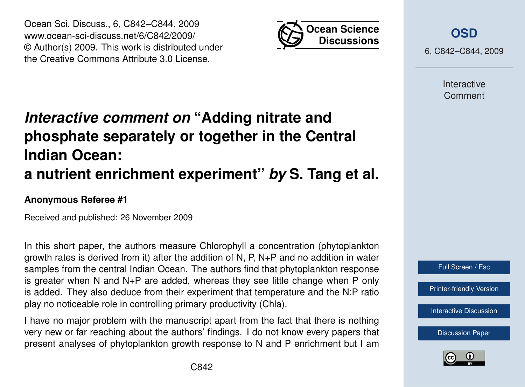

Ocean Sci. Discuss., 6, C842–C844, 2009 www.ocean-sci-discuss.net/6/C842/2009/ © Author(s) 2009. This work is distributed under the Creative Commons Attribute 3.0 License.

## *Interactive comment on* **"Adding nitrate and phosphate separately or together in the Central Indian Ocean: a nutrient enrichment experiment"** *by* **S. Tang et al.**

## **Anonymous Referee #1**

Received and published: 26 November 2009

In this short paper, the authors measure Chlorophyll a concentration (phytoplankton growth rates is derived from it) after the addition of N, P, N+P and no addition in water samples from the central Indian Ocean. The authors find that phytoplankton response is greater when N and  $N + P$  are added, whereas they see little change when P only is added. They also deduce from their experiment that temperature and the N:P ratio play no noticeable role in controlling primary productivity (Chla).

I have no major problem with the manuscript apart from the fact that there is nothing very new or far reaching about the authors' findings. I do not know every papers that present analyses of phytoplankton growth response to N and P enrichment but I am



6, C842–C844, 2009

Interactive Comment



[Printer-friendly Version](http://www.ocean-sci-discuss.net/6/C842/2009/osd-6-C842-2009-print.pdf)

[Interactive Discussion](http://www.ocean-sci-discuss.net/6/2649/2009/osd-6-2649-2009-discussion.html)

[Discussion Paper](http://www.ocean-sci-discuss.net/6/2649/2009/osd-6-2649-2009.pdf)

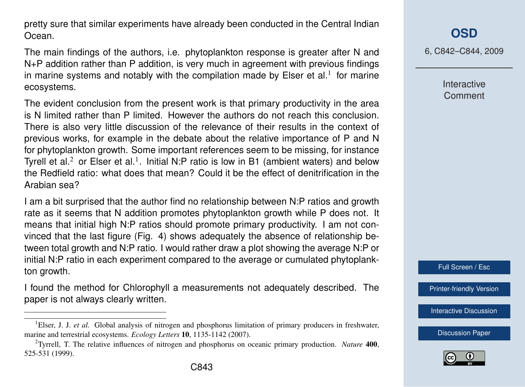pretty sure that similar experiments have already been conducted in the Central Indian Ocean.

The main findings of the authors, i.e. phytoplankton response is greater after N and N+P addition rather than P addition, is very much in agreement with previous findings in marine systems and notably with the compilation made by Elser et al.<sup>1</sup> for marine ecosystems.

The evident conclusion from the present work is that primary productivity in the area is N limited rather than P limited. However the authors do not reach this conclusion. There is also very little discussion of the relevance of their results in the context of previous works, for example in the debate about the relative importance of P and N for phytoplankton growth. Some important references seem to be missing, for instance Tyrell et al.<sup>2</sup> or Elser et al.<sup>1</sup>. Initial N:P ratio is low in B1 (ambient waters) and below the Redfield ratio: what does that mean? Could it be the effect of denitrification in the Arabian sea?

I am a bit surprised that the author find no relationship between N:P ratios and growth rate as it seems that N addition promotes phytoplankton growth while P does not. It means that initial high N:P ratios should promote primary productivity. I am not convinced that the last figure (Fig. 4) shows adequately the absence of relationship between total growth and N:P ratio. I would rather draw a plot showing the average N:P or initial N:P ratio in each experiment compared to the average or cumulated phytoplankton growth.

I found the method for Chlorophyll a measurements not adequately described. The paper is not always clearly written.

6, C842–C844, 2009

Interactive Comment

Full Screen / Esc

[Printer-friendly Version](http://www.ocean-sci-discuss.net/6/C842/2009/osd-6-C842-2009-print.pdf)

[Interactive Discussion](http://www.ocean-sci-discuss.net/6/2649/2009/osd-6-2649-2009-discussion.html)

[Discussion Paper](http://www.ocean-sci-discuss.net/6/2649/2009/osd-6-2649-2009.pdf)



<sup>&</sup>lt;sup>1</sup>Elser, J. J. *et al.* Global analysis of nitrogen and phosphorus limitation of primary producers in freshwater, marine and terrestrial ecosystems. *Ecology Letters* 10, 1135-1142 (2007).

<sup>2</sup>Tyrrell, T. The relative influences of nitrogen and phosphorus on oceanic primary production. *Nature* 400, 525-531 (1999).